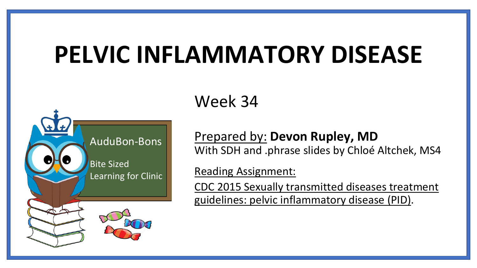# **PELVIC INFLAMMATORY DISEASE**



Week 34

Prepared by: **Devon Rupley, MD** With SDH and .phrase slides by Chloé Altchek, MS4

Reading Assignment:

[CDC 2015 Sexually transmitted diseases treatment](https://www.cdc.gov/std/tg2015/pid.htmtargetText=Pelvic%20inflammatory%20disease%20(PID)%20comprises,and%20pelvic%20peritonitis%20(728).&targetText=Screening%20and%20treating%20sexually%20active,PID%20(456,682).) guidelines: pelvic inflammatory disease (PID).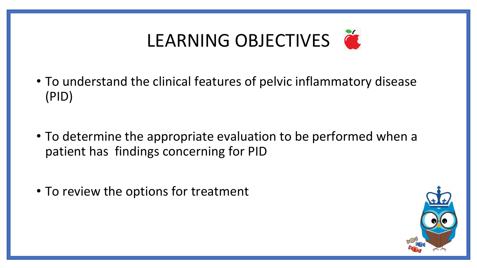

- To understand the clinical features of pelvic inflammatory disease (PID)
- To determine the appropriate evaluation to be performed when a patient has findings concerning for PID
- To review the options for treatment

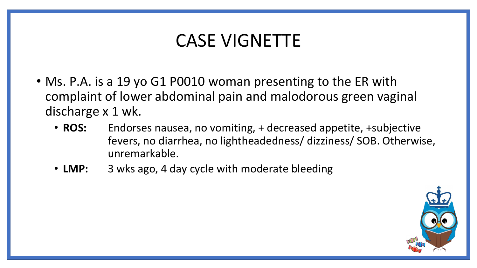### CASE VIGNETTE

- Ms. P.A. is a 19 yo G1 P0010 woman presenting to the ER with complaint of lower abdominal pain and malodorous green vaginal discharge x 1 wk.
	- **ROS:** Endorses nausea, no vomiting, + decreased appetite, +subjective fevers, no diarrhea, no lightheadedness/ dizziness/ SOB. Otherwise, unremarkable.
	- **LMP:** 3 wks ago, 4 day cycle with moderate bleeding

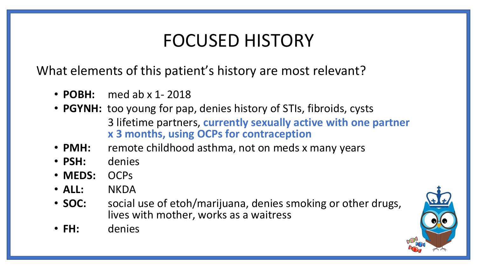### FOCUSED HISTORY

What elements of this patient's history are most relevant?

- **POBH:** med ab x 1- 2018
- **PGYNH:** too young for pap, denies history of STIs, fibroids, cysts 3 lifetime partners, **currently sexually active with one partner x 3 months, using OCPs for contraception**
- **PMH:** remote childhood asthma, not on meds x many years
- **PSH:** denies
- **MEDS:** OCPs
- **ALL:** NKDA
- **SOC:** social use of etoh/marijuana, denies smoking or other drugs, lives with mother, works as a waitress
- **FH:** denies

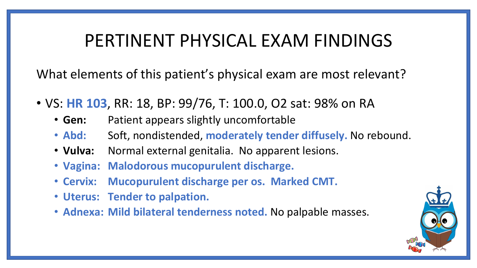### PERTINENT PHYSICAL EXAM FINDINGS

What elements of this patient's physical exam are most relevant?

- VS: **HR 103**, RR: 18, BP: 99/76, T: 100.0, O2 sat: 98% on RA
	- **Gen:** Patient appears slightly uncomfortable
	- Abd: Soft, nondistended, moderately tender diffusely. No rebound.
	- **Vulva:** Normal external genitalia. No apparent lesions.
	- **Vagina: Malodorous mucopurulent discharge.**
	- **Cervix: Mucopurulent discharge per os. Marked CMT.**
	- **Uterus: Tender to palpation.**
	- **Adnexa: Mild bilateral tenderness noted.** No palpable masses.

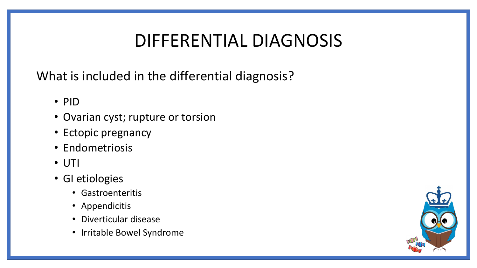# DIFFERENTIAL DIAGNOSIS

What is included in the differential diagnosis?

- PID
- Ovarian cyst; rupture or torsion
- Ectopic pregnancy
- Endometriosis
- UTI
- GI etiologies
	- Gastroenteritis
	- Appendicitis
	- Diverticular disease
	- Irritable Bowel Syndrome

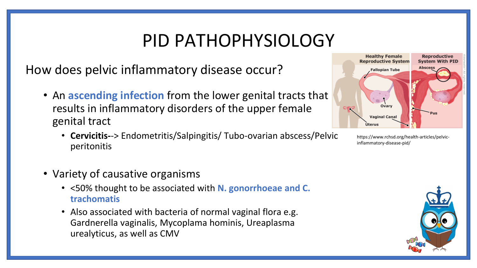### PID PATHOPHYSIOLOGY

How does pelvic inflammatory disease occur?

- An **ascending infection** from the lower genital tracts that results in inflammatory disorders of the upper female genital tract
	- **Cervicitis-**-> Endometritis/Salpingitis/ Tubo-ovarian abscess/Pelvic peritonitis
- Variety of causative organisms
	- <50% thought to be associated with **N. gonorrhoeae and C. trachomatis**
	- Also associated with bacteria of normal vaginal flora e.g. Gardnerella vaginalis, Mycoplama hominis, Ureaplasma urealyticus, as well as CMV



https://www.rchsd.org/health-articles/pelvicinflammatory-disease-pid/

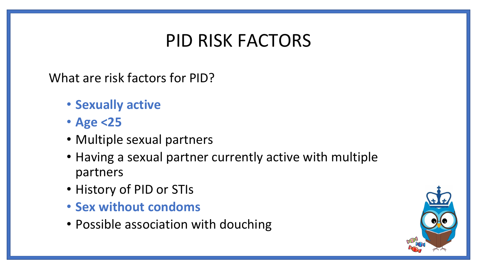### PID RISK FACTORS

What are risk factors for PID?

- **Sexually active**
- **Age <25**
- Multiple sexual partners
- Having a sexual partner currently active with multiple partners
- History of PID or STIs
- **Sex without condoms**
- Possible association with douching

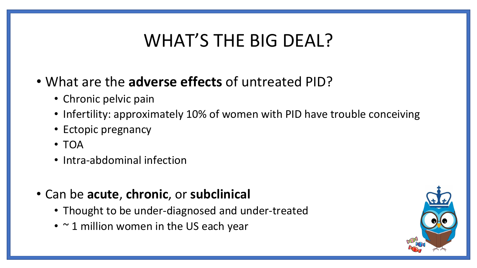## WHAT'S THE BIG DEAL?

- What are the **adverse effects** of untreated PID?
	- Chronic pelvic pain
	- Infertility: approximately 10% of women with PID have trouble conceiving
	- Ectopic pregnancy
	- TOA
	- Intra-abdominal infection
- Can be **acute**, **chronic**, or **subclinical**
	- Thought to be under-diagnosed and under-treated
	- $\sim$  1 million women in the US each year

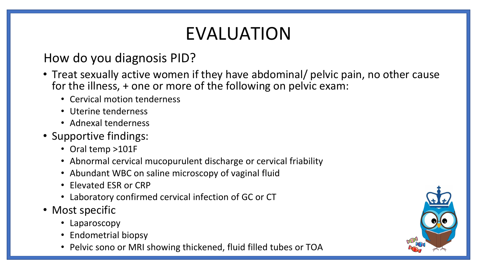# EVALUATION

### How do you diagnosis PID?

- Treat sexually active women if they have abdominal/ pelvic pain, no other cause for the illness, + one or more of the following on pelvic exam:
	- Cervical motion tenderness
	- Uterine tenderness
	- Adnexal tenderness
- Supportive findings:
	- Oral temp >101F
	- Abnormal cervical mucopurulent discharge or cervical friability
	- Abundant WBC on saline microscopy of vaginal fluid
	- Elevated ESR or CRP
	- Laboratory confirmed cervical infection of GC or CT
- Most specific
	- Laparoscopy
	- Endometrial biopsy
	- Pelvic sono or MRI showing thickened, fluid filled tubes or TOA

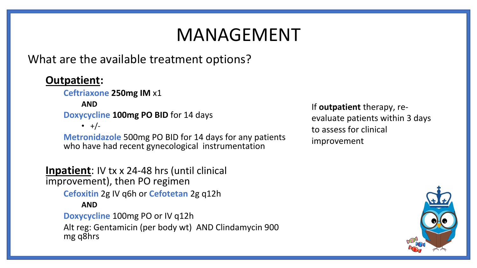# MANAGEMENT

What are the available treatment options?

#### **Outpatient:**

**Ceftriaxone 250mg IM** x1

**AND**

**Doxycycline 100mg PO BID** for 14 days

 $\bullet +/-$ 

**Metronidazole** 500mg PO BID for 14 days for any patients who have had recent gynecological instrumentation

**Inpatient**: IV tx x 24-48 hrs (until clinical improvement), then PO regimen **Cefoxitin** 2g IV q6h or **Cefotetan** 2g q12h **AND Doxycycline** 100mg PO or IV q12h Alt reg: Gentamicin (per body wt) AND Clindamycin 900 mg q8hrs

If **outpatient** therapy, reevaluate patients within 3 days to assess for clinical improvement

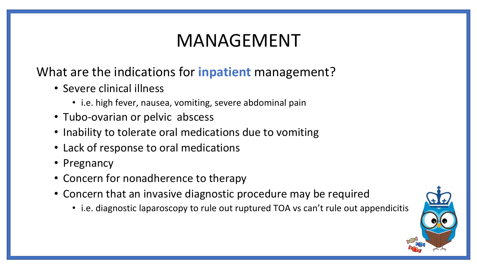# MANAGEMENT

### What are the indications for **inpatient** management?

- Severe clinical illness
	- i.e. high fever, nausea, vomiting, severe abdominal pain
- Tubo-ovarian or pelvic abscess
- Inability to tolerate oral medications due to vomiting
- Lack of response to oral medications
- Pregnancy
- Concern for nonadherence to therapy
- Concern that an invasive diagnostic procedure may be required
	- i.e. diagnostic laparoscopy to rule out ruptured TOA vs can't rule out appendicitis

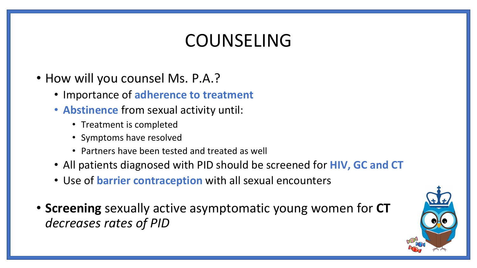### COUNSELING

- How will you counsel Ms. P.A.?
	- Importance of **adherence to treatment**
	- **Abstinence** from sexual activity until:
		- Treatment is completed
		- Symptoms have resolved
		- Partners have been tested and treated as well
	- All patients diagnosed with PID should be screened for **HIV, GC and CT**
	- Use of **barrier contraception** with all sexual encounters
- **Screening** sexually active asymptomatic young women for **CT** *decreases rates of PID*

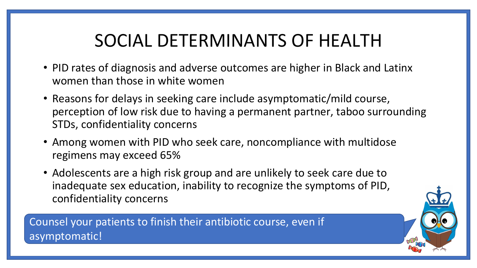# SOCIAL DETERMINANTS OF HEALTH

- PID rates of diagnosis and adverse outcomes are higher in Black and Latinx women than those in white women
- Reasons for delays in seeking care include asymptomatic/mild course, perception of low risk due to having a permanent partner, taboo surrounding STDs, confidentiality concerns
- Among women with PID who seek care, noncompliance with multidose regimens may exceed 65%
- Adolescents are a high risk group and are unlikely to seek care due to inadequate sex education, inability to recognize the symptoms of PID, confidentiality concerns

Counsel your patients to finish their antibiotic course, even if asymptomatic!

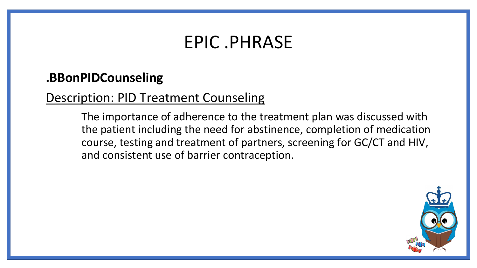### EPIC .PHRASE

### **.BBonPIDCounseling**

### Description: PID Treatment Counseling

The importance of adherence to the treatment plan was discussed with the patient including the need for abstinence, completion of medication course, testing and treatment of partners, screening for GC/CT and HIV, and consistent use of barrier contraception.

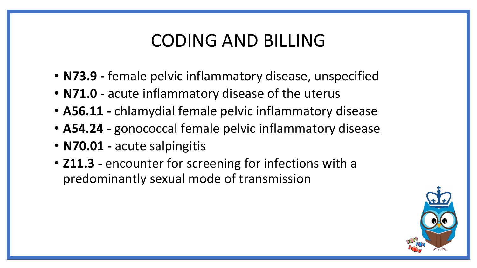### CODING AND BILLING

- **N73.9 -** female pelvic inflammatory disease, unspecified
- **N71.0**  acute inflammatory disease of the uterus
- **A56.11 -** chlamydial female pelvic inflammatory disease
- **A54.24** gonococcal female pelvic inflammatory disease
- **N70.01 -** acute salpingitis
- **Z11.3 -** encounter for screening for infections with a predominantly sexual mode of transmission